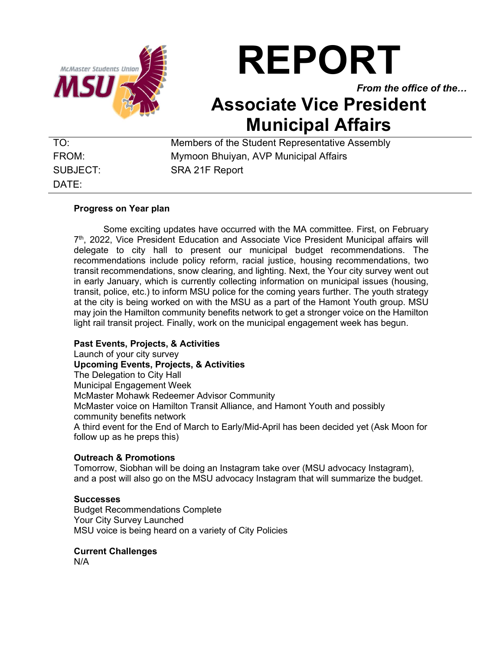

# REPORT

From the office of the…

## Associate Vice President Municipal Affairs

DATE:

TO: Members of the Student Representative Assembly FROM: Mymoon Bhuiyan, AVP Municipal Affairs SUBJECT: SRA 21F Report

#### Progress on Year plan

 Some exciting updates have occurred with the MA committee. First, on February 7<sup>th</sup>, 2022, Vice President Education and Associate Vice President Municipal affairs will delegate to city hall to present our municipal budget recommendations. The recommendations include policy reform, racial justice, housing recommendations, two transit recommendations, snow clearing, and lighting. Next, the Your city survey went out in early January, which is currently collecting information on municipal issues (housing, transit, police, etc.) to inform MSU police for the coming years further. The youth strategy at the city is being worked on with the MSU as a part of the Hamont Youth group. MSU may join the Hamilton community benefits network to get a stronger voice on the Hamilton light rail transit project. Finally, work on the municipal engagement week has begun.

#### Past Events, Projects, & Activities

Launch of your city survey Upcoming Events, Projects, & Activities The Delegation to City Hall Municipal Engagement Week McMaster Mohawk Redeemer Advisor Community McMaster voice on Hamilton Transit Alliance, and Hamont Youth and possibly community benefits network A third event for the End of March to Early/Mid-April has been decided yet (Ask Moon for follow up as he preps this)

#### Outreach & Promotions

Tomorrow, Siobhan will be doing an Instagram take over (MSU advocacy Instagram), and a post will also go on the MSU advocacy Instagram that will summarize the budget.

#### **Successes**

Budget Recommendations Complete Your City Survey Launched MSU voice is being heard on a variety of City Policies

#### Current Challenges

N/A